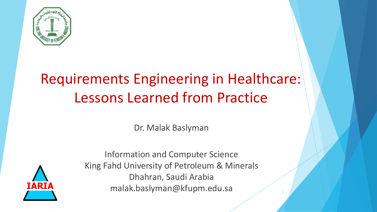

# Requirements Engineering in Healthcare: Lessons Learned from Practice

Dr. Malak Baslyman



Information and Computer Science King Fahd University of Petroleum & Minerals Dhahran, Saudi Arabia malak.baslyman@kfupm.edu.sa <sup>1</sup>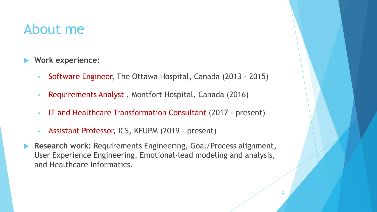### About me

- **Work experience:** 
	- Software Engineer, The Ottawa Hospital, Canada (2013 2015)
	- Requirements Analyst , Montfort Hospital, Canada (2016)
	- IT and Healthcare Transformation Consultant (2017 present)
	- Assistant Professor, ICS, KFUPM (2019 present)
- **Research work:** Requirements Engineering, Goal/Process alignment, User Experience Engineering, Emotional-lead modeling and analysis, and Healthcare Informatics.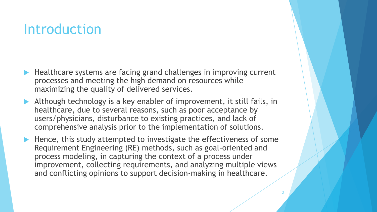### **Introduction**

- Healthcare systems are facing grand challenges in improving current processes and meeting the high demand on resources while maximizing the quality of delivered services.
- Although technology is a key enabler of improvement, it still fails, in healthcare, due to several reasons, such as poor acceptance by users/physicians, disturbance to existing practices, and lack of comprehensive analysis prior to the implementation of solutions.
- $\blacktriangleright$  Hence, this study attempted to investigate the effectiveness of some Requirement Engineering (RE) methods, such as goal-oriented and process modeling, in capturing the context of a process under improvement, collecting requirements, and analyzing multiple views and conflicting opinions to support decision-making in healthcare.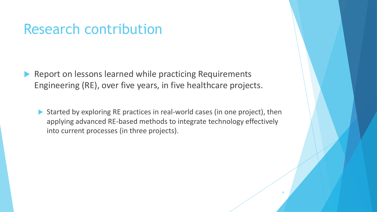### Research contribution

- Report on lessons learned while practicing Requirements Engineering (RE), over five years, in five healthcare projects.
	- ▶ Started by exploring RE practices in real-world cases (in one project), then applying advanced RE-based methods to integrate technology effectively into current processes (in three projects).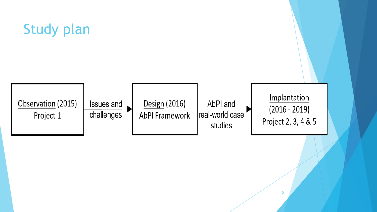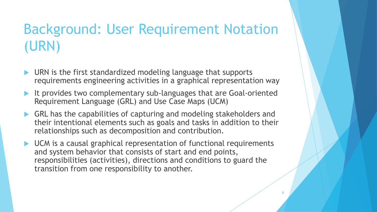# Background: User Requirement Notation (URN)

- URN is the first standardized modeling language that supports requirements engineering activities in a graphical representation way
- It provides two complementary sub-languages that are Goal-oriented Requirement Language (GRL) and Use Case Maps (UCM)
- GRL has the capabilities of capturing and modeling stakeholders and their intentional elements such as goals and tasks in addition to their relationships such as decomposition and contribution.
- ▶ UCM is a causal graphical representation of functional requirements and system behavior that consists of start and end points, responsibilities (activities), directions and conditions to guard the transition from one responsibility to another.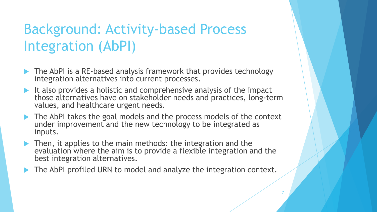# Background: Activity-based Process Integration (AbPI)

- ▶ The AbPI is a RE-based analysis framework that provides technology integration alternatives into current processes.
- It also provides a holistic and comprehensive analysis of the impact those alternatives have on stakeholder needs and practices, long-term values, and healthcare urgent needs.
- The AbPI takes the goal models and the process models of the context under improvement and the new technology to be integrated as inputs.
- **Then, it applies to the main methods: the integration and the** evaluation where the aim is to provide a flexible integration and the best integration alternatives.
- The AbPI profiled URN to model and analyze the integration context.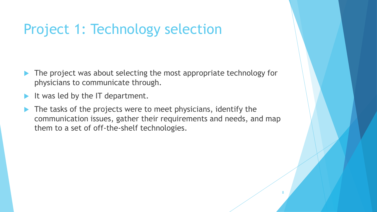## Project 1: Technology selection

- The project was about selecting the most appropriate technology for physicians to communicate through.
- It was led by the IT department.
- The tasks of the projects were to meet physicians, identify the communication issues, gather their requirements and needs, and map them to a set of off-the-shelf technologies.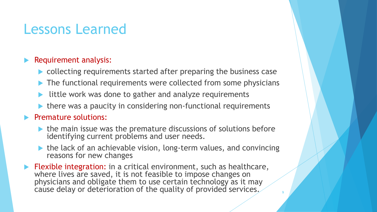## Lessons Learned

#### Requirement analysis:

- ▶ collecting requirements started after preparing the business case
- ▶ The functional requirements were collected from some physicians
- little work was done to gather and analyze requirements
- $\blacktriangleright$  there was a paucity in considering non-functional requirements

#### Premature solutions:

- the main issue was the premature discussions of solutions before identifying current problems and user needs.
- $\blacktriangleright$  the lack of an achievable vision, long-term values, and convincing reasons for new changes
- Flexible integration: in a critical environment, such as healthcare, where lives are saved, it is not feasible to impose changes on physicians and obligate them to use certain technology as it may cause delay or deterioration of the quality of provided services.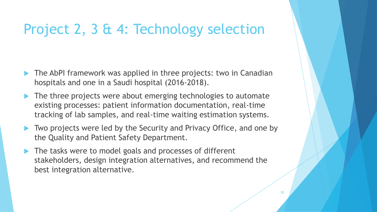## Project 2, 3 & 4: Technology selection

- The AbPI framework was applied in three projects: two in Canadian hospitals and one in a Saudi hospital (2016-2018).
- The three projects were about emerging technologies to automate existing processes: patient information documentation, real-time tracking of lab samples, and real-time waiting estimation systems.
- ▶ Two projects were led by the Security and Privacy Office, and one by the Quality and Patient Safety Department.
- The tasks were to model goals and processes of different stakeholders, design integration alternatives, and recommend the best integration alternative.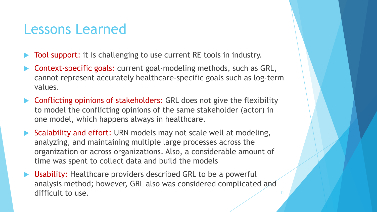### Lessons Learned

- Tool support: it is challenging to use current RE tools in industry.
- Context-specific goals: current goal-modeling methods, such as GRL, cannot represent accurately healthcare-specific goals such as log-term values.
- ▶ Conflicting opinions of stakeholders: GRL does not give the flexibility to model the conflicting opinions of the same stakeholder (actor) in one model, which happens always in healthcare.
- Scalability and effort: URN models may not scale well at modeling, analyzing, and maintaining multiple large processes across the organization or across organizations. Also, a considerable amount of time was spent to collect data and build the models
- Usability: Healthcare providers described GRL to be a powerful analysis method; however, GRL also was considered complicated and difficult to use.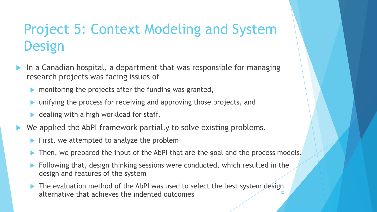# Project 5: Context Modeling and System **Design**

- In a Canadian hospital, a department that was responsible for managing research projects was facing issues of
	- monitoring the projects after the funding was granted,
	- unifying the process for receiving and approving those projects, and
	- dealing with a high workload for staff.
- We applied the AbPI framework partially to solve existing problems.
	- First, we attempted to analyze the problem
	- Then, we prepared the input of the AbPI that are the goal and the process models.
	- Following that, design thinking sessions were conducted, which resulted in the design and features of the system
	- The evaluation method of the AbPI was used to select the best system design alternative that achieves the indented outcomes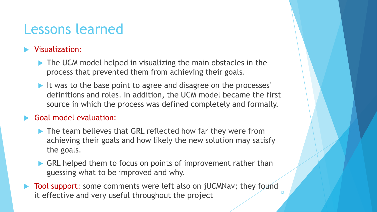## Lessons learned

#### **Number** Visualization:

- The UCM model helped in visualizing the main obstacles in the process that prevented them from achieving their goals.
- It was to the base point to agree and disagree on the processes' definitions and roles. In addition, the UCM model became the first source in which the process was defined completely and formally.

#### Goal model evaluation:

- ▶ The team believes that GRL reflected how far they were from achieving their goals and how likely the new solution may satisfy the goals.
- GRL helped them to focus on points of improvement rather than guessing what to be improved and why.
- Tool support: some comments were left also on jUCMNav; they found it effective and very useful throughout the project